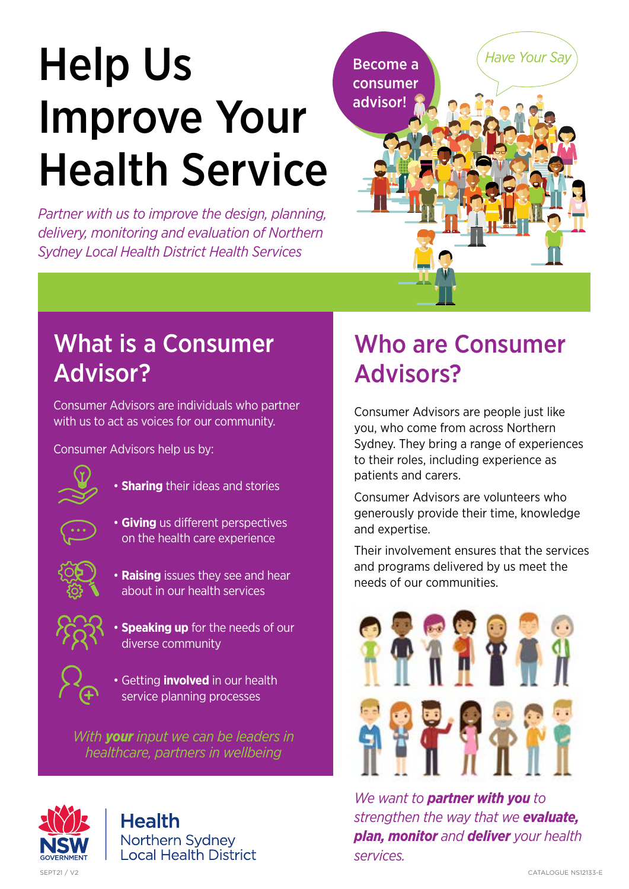# Help Us Improve Your Health Service

*Partner with us to improve the design, planning, delivery, monitoring and evaluation of Northern Sydney Local Health District Health Services*



## What is a Consumer Advisor?

Consumer Advisors are individuals who partner with us to act as voices for our community.

Consumer Advisors help us by:



• **Sharing** their ideas and stories



• **Giving** us different perspectives on the health care experience



• **Raising** issues they see and hear about in our health services



**Speaking up** for the needs of our diverse community



• Getting **involved** in our health service planning processes

*With your input we can be leaders in healthcare, partners in wellbeing*

# Who are Consumer Advisors?

Consumer Advisors are people just like you, who come from across Northern Sydney. They bring a range of experiences to their roles, including experience as patients and carers.

Consumer Advisors are volunteers who generously provide their time, knowledge and expertise.

Their involvement ensures that the services and programs delivered by us meet the needs of our communities.



*We want to partner with you to strengthen the way that we evaluate, plan, monitor and deliver your health services.*